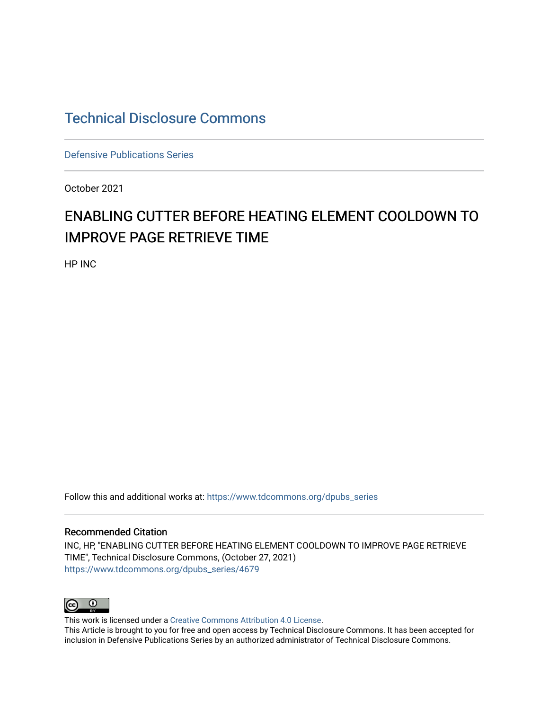### [Technical Disclosure Commons](https://www.tdcommons.org/)

[Defensive Publications Series](https://www.tdcommons.org/dpubs_series)

October 2021

# ENABLING CUTTER BEFORE HEATING ELEMENT COOLDOWN TO IMPROVE PAGE RETRIEVE TIME

HP INC

Follow this and additional works at: [https://www.tdcommons.org/dpubs\\_series](https://www.tdcommons.org/dpubs_series?utm_source=www.tdcommons.org%2Fdpubs_series%2F4679&utm_medium=PDF&utm_campaign=PDFCoverPages) 

#### Recommended Citation

INC, HP, "ENABLING CUTTER BEFORE HEATING ELEMENT COOLDOWN TO IMPROVE PAGE RETRIEVE TIME", Technical Disclosure Commons, (October 27, 2021) [https://www.tdcommons.org/dpubs\\_series/4679](https://www.tdcommons.org/dpubs_series/4679?utm_source=www.tdcommons.org%2Fdpubs_series%2F4679&utm_medium=PDF&utm_campaign=PDFCoverPages)



This work is licensed under a [Creative Commons Attribution 4.0 License](http://creativecommons.org/licenses/by/4.0/deed.en_US).

This Article is brought to you for free and open access by Technical Disclosure Commons. It has been accepted for inclusion in Defensive Publications Series by an authorized administrator of Technical Disclosure Commons.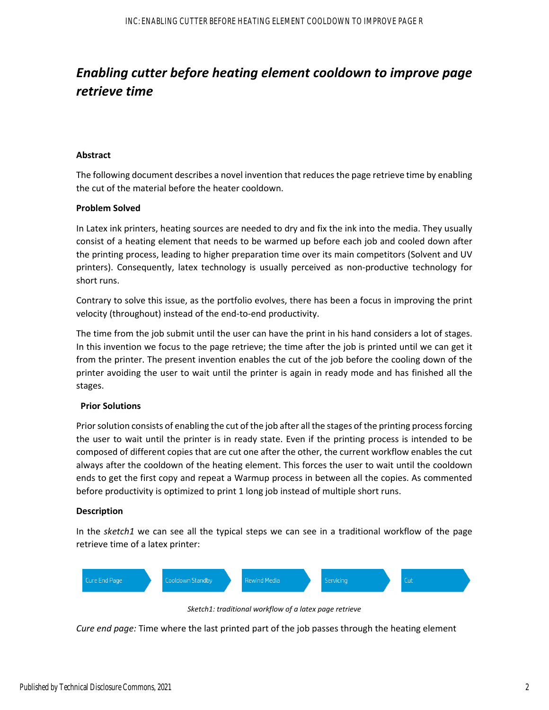## *Enabling cutter before heating element cooldown to improve page retrieve time*

#### **Abstract**

The following document describes a novel invention that reduces the page retrieve time by enabling the cut of the material before the heater cooldown.

#### **Problem Solved**

In Latex ink printers, heating sources are needed to dry and fix the ink into the media. They usually consist of a heating element that needs to be warmed up before each job and cooled down after the printing process, leading to higher preparation time over its main competitors (Solvent and UV printers). Consequently, latex technology is usually perceived as non-productive technology for short runs.

Contrary to solve this issue, as the portfolio evolves, there has been a focus in improving the print velocity (throughout) instead of the end‐to‐end productivity.

The time from the job submit until the user can have the print in his hand considers a lot of stages. In this invention we focus to the page retrieve; the time after the job is printed until we can get it from the printer. The present invention enables the cut of the job before the cooling down of the printer avoiding the user to wait until the printer is again in ready mode and has finished all the stages.

#### **Prior Solutions**

Prior solution consists of enabling the cut of the job after all the stages of the printing process forcing the user to wait until the printer is in ready state. Even if the printing process is intended to be composed of different copies that are cut one after the other, the current workflow enables the cut always after the cooldown of the heating element. This forces the user to wait until the cooldown ends to get the first copy and repeat a Warmup process in between all the copies. As commented before productivity is optimized to print 1 long job instead of multiple short runs.

#### **Description**

In the *sketch1* we can see all the typical steps we can see in a traditional workflow of the page retrieve time of a latex printer:



*Sketch1: traditional workflow of a latex page retrieve*

*Cure end page:* Time where the last printed part of the job passes through the heating element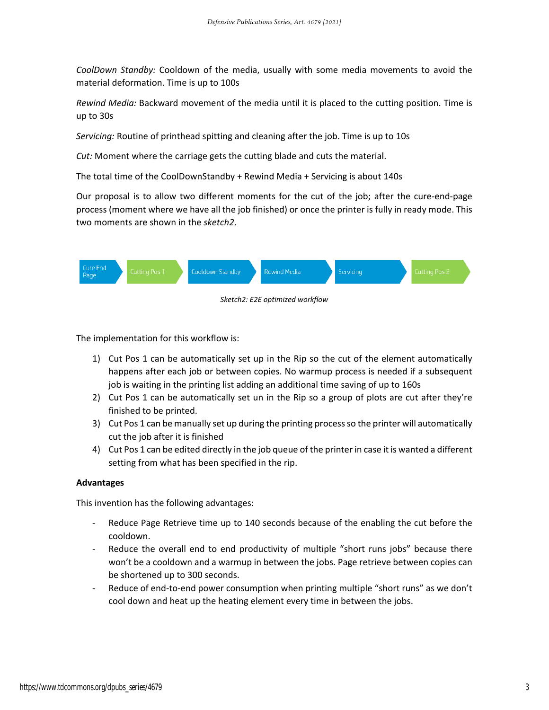*CoolDown Standby:* Cooldown of the media, usually with some media movements to avoid the material deformation. Time is up to 100s

*Rewind Media:* Backward movement of the media until it is placed to the cutting position. Time is up to 30s

*Servicing:* Routine of printhead spitting and cleaning after the job. Time is up to 10s

*Cut:* Moment where the carriage gets the cutting blade and cuts the material.

The total time of the CoolDownStandby + Rewind Media + Servicing is about 140s

Our proposal is to allow two different moments for the cut of the job; after the cure‐end‐page process (moment where we have all the job finished) or once the printer is fully in ready mode. This two moments are shown in the *sketch2*.



The implementation for this workflow is:

- 1) Cut Pos 1 can be automatically set up in the Rip so the cut of the element automatically happens after each job or between copies. No warmup process is needed if a subsequent job is waiting in the printing list adding an additional time saving of up to 160s
- 2) Cut Pos 1 can be automatically set un in the Rip so a group of plots are cut after they're finished to be printed.
- 3) Cut Pos 1 can be manually set up during the printing processso the printer will automatically cut the job after it is finished
- 4) Cut Pos 1 can be edited directly in the job queue of the printer in case it is wanted a different setting from what has been specified in the rip.

#### **Advantages**

This invention has the following advantages:

- Reduce Page Retrieve time up to 140 seconds because of the enabling the cut before the cooldown.
- Reduce the overall end to end productivity of multiple "short runs jobs" because there won't be a cooldown and a warmup in between the jobs. Page retrieve between copies can be shortened up to 300 seconds.
- Reduce of end-to-end power consumption when printing multiple "short runs" as we don't cool down and heat up the heating element every time in between the jobs.